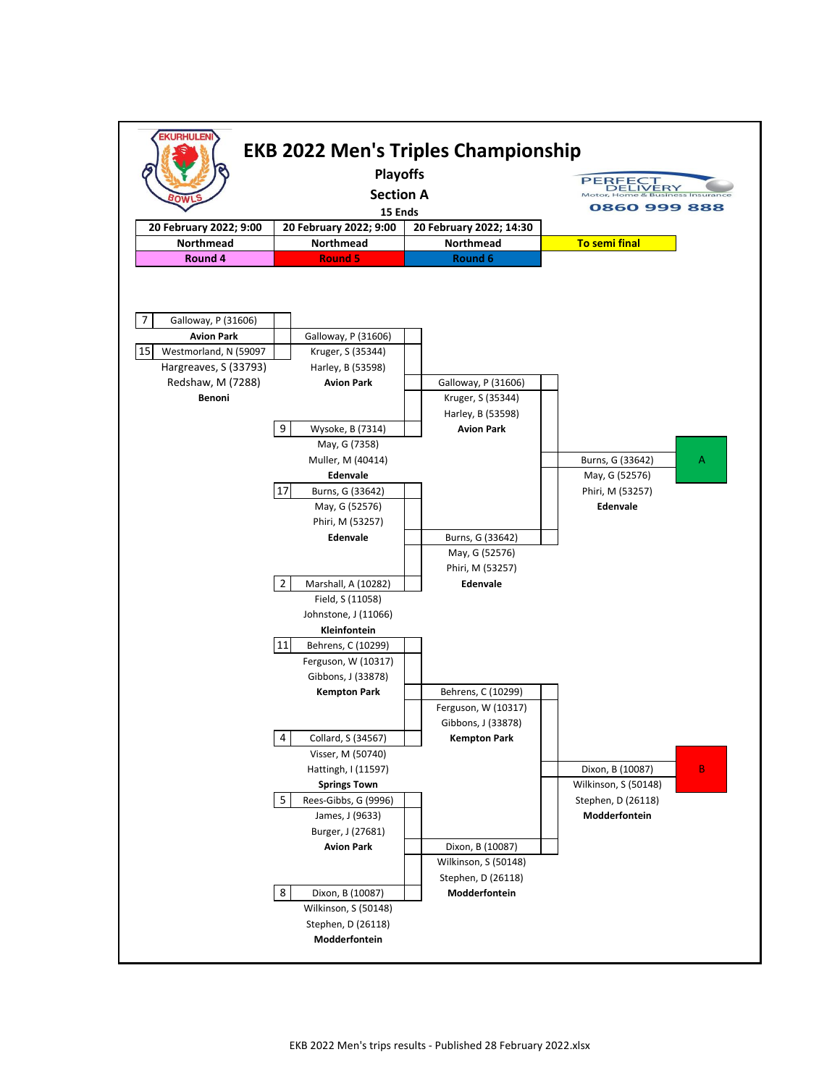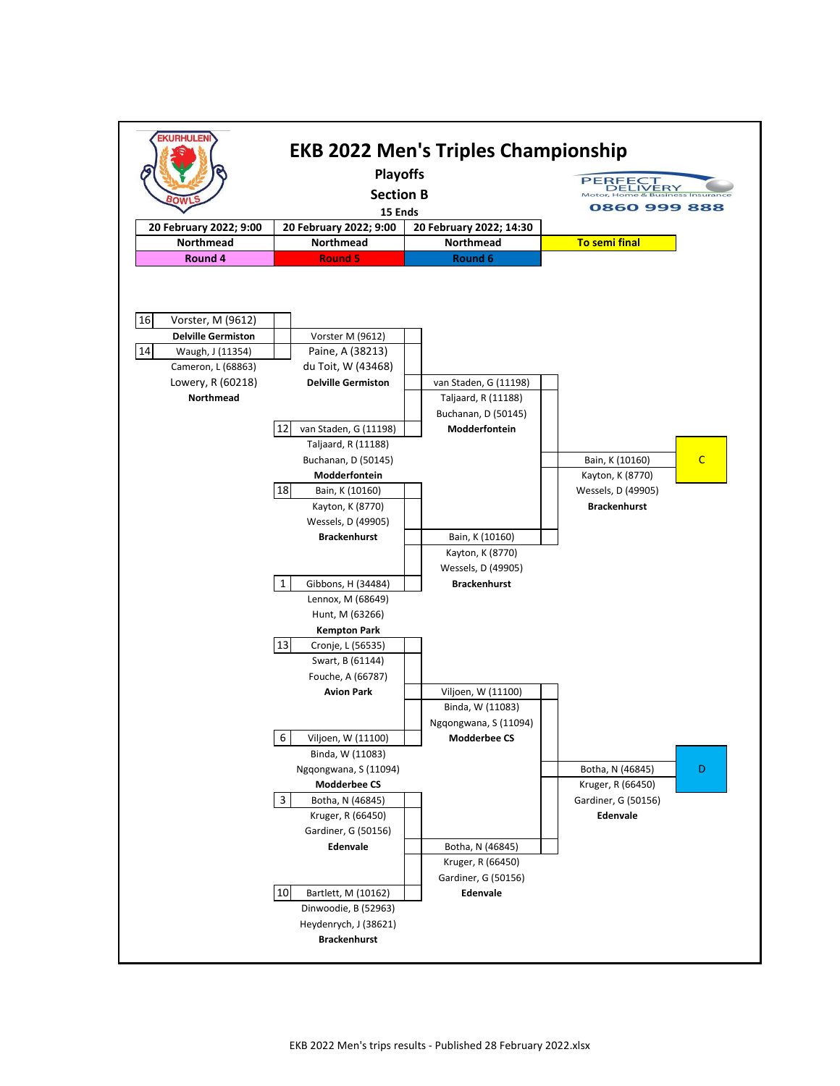